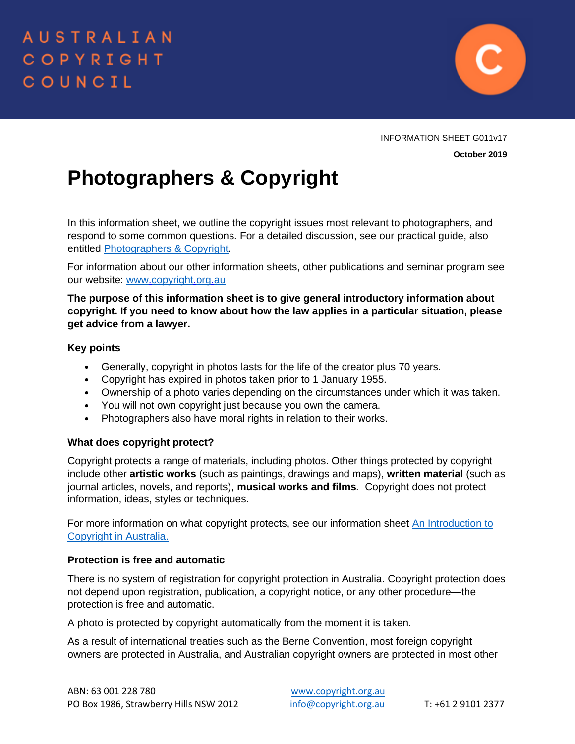

INFORMATION SHEET G011v17 **October 2019**

# **Photographers & Copyright**

In this information sheet, we outline the copyright issues most relevant to photographers, and respond to some common questions. For a detailed discussion, see our practical guide, also entitled [Photographers & Copyright](https://www.copyright.org.au/acc_prod/ItemDetail?iProductCode=B149V01&Category=ARTS&WebsiteKey=8a471e74-3f78-4994-9023-316f0ecef4ef)*.* 

For information about our other information sheets, other publications and seminar program see our website: [www.copyright.org.au](http://www.copyright.org.au/)

**The purpose of this information sheet is to give general introductory information about copyright. If you need to know about how the law applies in a particular situation, please get advice from a lawyer.**

# **Key points**

- Generally, copyright in photos lasts for the life of the creator plus 70 years.
- Copyright has expired in photos taken prior to 1 January 1955.
- Ownership of a photo varies depending on the circumstances under which it was taken.
- You will not own copyright just because you own the camera.
- Photographers also have moral rights in relation to their works.

# **What does copyright protect?**

Copyright protects a range of materials, including photos. Other things protected by copyright include other **artistic works** (such as paintings, drawings and maps), **written material** (such as journal articles, novels, and reports), **musical works and films***.* Copyright does not protect information, ideas, styles or techniques.

For more information on what copyright protects, see our information sheet [An Introduction to](https://www.copyright.org.au/acc_prod/ACC/Information_Sheets/An_Introduction_to_Copyright_in_Australia.aspx)  [Copyright in Australia.](https://www.copyright.org.au/acc_prod/ACC/Information_Sheets/An_Introduction_to_Copyright_in_Australia.aspx)

# **Protection is free and automatic**

There is no system of registration for copyright protection in Australia. Copyright protection does not depend upon registration, publication, a copyright notice, or any other procedure—the protection is free and automatic.

A photo is protected by copyright automatically from the moment it is taken.

As a result of international treaties such as the Berne Convention, most foreign copyright owners are protected in Australia, and Australian copyright owners are protected in most other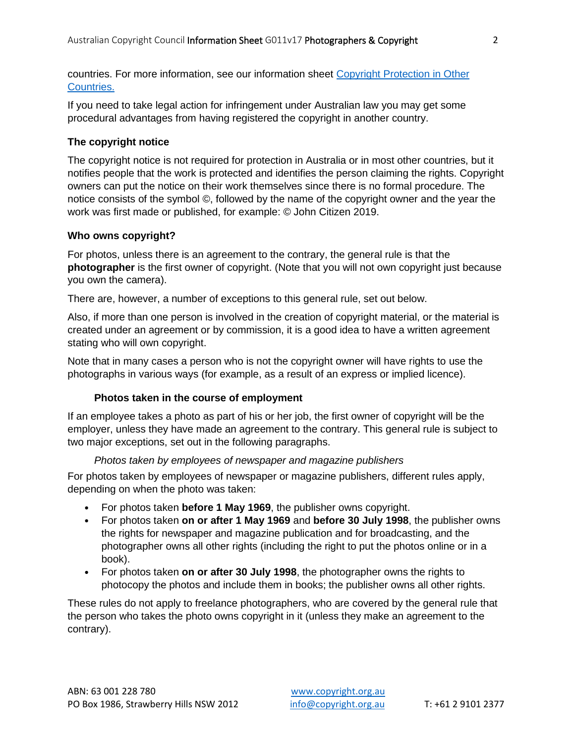countries. For more information, see our information sheet [Copyright Protection in Other](https://www.copyright.org.au/ACC_Prod/ACC/Information_Sheets/Copyright_Protection_in_Other_Countries.aspx?WebsiteKey=8a471e74-3f78-4994-9023-316f0ecef4ef)  [Countries.](https://www.copyright.org.au/ACC_Prod/ACC/Information_Sheets/Copyright_Protection_in_Other_Countries.aspx?WebsiteKey=8a471e74-3f78-4994-9023-316f0ecef4ef)

If you need to take legal action for infringement under Australian law you may get some procedural advantages from having registered the copyright in another country.

# **The copyright notice**

The copyright notice is not required for protection in Australia or in most other countries, but it notifies people that the work is protected and identifies the person claiming the rights. Copyright owners can put the notice on their work themselves since there is no formal procedure. The notice consists of the symbol ©, followed by the name of the copyright owner and the year the work was first made or published, for example: © John Citizen 2019.

#### **Who owns copyright?**

For photos, unless there is an agreement to the contrary, the general rule is that the **photographer** is the first owner of copyright. (Note that you will not own copyright just because you own the camera).

There are, however, a number of exceptions to this general rule, set out below.

Also, if more than one person is involved in the creation of copyright material, or the material is created under an agreement or by commission, it is a good idea to have a written agreement stating who will own copyright.

Note that in many cases a person who is not the copyright owner will have rights to use the photographs in various ways (for example, as a result of an express or implied licence).

#### **Photos taken in the course of employment**

If an employee takes a photo as part of his or her job, the first owner of copyright will be the employer, unless they have made an agreement to the contrary. This general rule is subject to two major exceptions, set out in the following paragraphs.

#### *Photos taken by employees of newspaper and magazine publishers*

For photos taken by employees of newspaper or magazine publishers, different rules apply, depending on when the photo was taken:

- For photos taken **before 1 May 1969**, the publisher owns copyright.
- For photos taken **on or after 1 May 1969** and **before 30 July 1998**, the publisher owns the rights for newspaper and magazine publication and for broadcasting, and the photographer owns all other rights (including the right to put the photos online or in a book).
- For photos taken **on or after 30 July 1998**, the photographer owns the rights to photocopy the photos and include them in books; the publisher owns all other rights.

These rules do not apply to freelance photographers, who are covered by the general rule that the person who takes the photo owns copyright in it (unless they make an agreement to the contrary).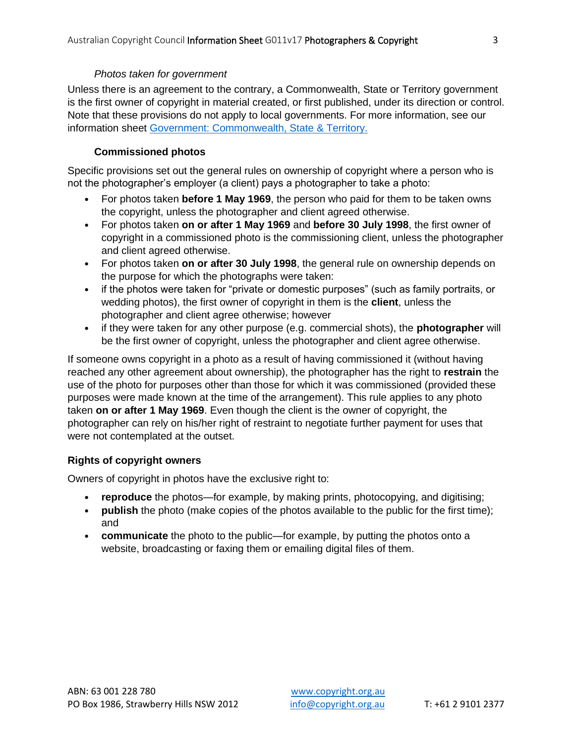#### *Photos taken for government*

Unless there is an agreement to the contrary, a Commonwealth, State or Territory government is the first owner of copyright in material created, or first published, under its direction or control. Note that these provisions do not apply to local governments. For more information, see our information sheet [Government: Commonwealth, State & Territory.](https://www.copyright.org.au/ACC_Prod/ACC/Information_Sheets/Government__Commonwealth__State___Territory.aspx?WebsiteKey=8a471e74-3f78-4994-9023-316f0ecef4ef)

### **Commissioned photos**

Specific provisions set out the general rules on ownership of copyright where a person who is not the photographer's employer (a client) pays a photographer to take a photo:

- For photos taken **before 1 May 1969**, the person who paid for them to be taken owns the copyright, unless the photographer and client agreed otherwise.
- For photos taken **on or after 1 May 1969** and **before 30 July 1998**, the first owner of copyright in a commissioned photo is the commissioning client, unless the photographer and client agreed otherwise.
- For photos taken **on or after 30 July 1998**, the general rule on ownership depends on the purpose for which the photographs were taken:
- if the photos were taken for "private or domestic purposes" (such as family portraits, or wedding photos), the first owner of copyright in them is the **client**, unless the photographer and client agree otherwise; however
- if they were taken for any other purpose (e.g. commercial shots), the **photographer** will be the first owner of copyright, unless the photographer and client agree otherwise.

If someone owns copyright in a photo as a result of having commissioned it (without having reached any other agreement about ownership), the photographer has the right to **restrain** the use of the photo for purposes other than those for which it was commissioned (provided these purposes were made known at the time of the arrangement). This rule applies to any photo taken **on or after 1 May 1969**. Even though the client is the owner of copyright, the photographer can rely on his/her right of restraint to negotiate further payment for uses that were not contemplated at the outset.

# **Rights of copyright owners**

Owners of copyright in photos have the exclusive right to:

- **reproduce** the photos—for example, by making prints, photocopying, and digitising;
- **publish** the photo (make copies of the photos available to the public for the first time); and
- **communicate** the photo to the public—for example, by putting the photos onto a website, broadcasting or faxing them or emailing digital files of them.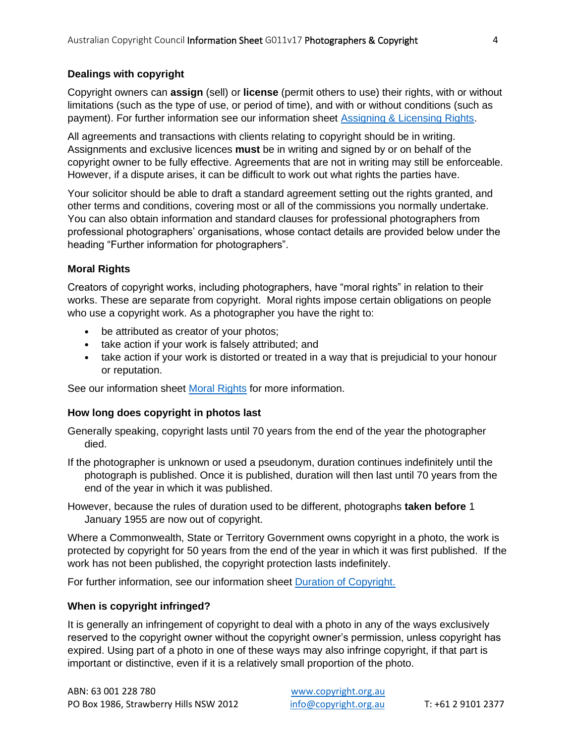# **Dealings with copyright**

Copyright owners can **assign** (sell) or **license** (permit others to use) their rights, with or without limitations (such as the type of use, or period of time), and with or without conditions (such as payment). For further information see our information sheet [Assigning & Licensing Rights.](https://www.copyright.org.au/ACC_Prod/ACC/Information_Sheets/Assigning___Licensing_rights.aspx?WebsiteKey=8a471e74-3f78-4994-9023-316f0ecef4ef)

All agreements and transactions with clients relating to copyright should be in writing. Assignments and exclusive licences **must** be in writing and signed by or on behalf of the copyright owner to be fully effective. Agreements that are not in writing may still be enforceable. However, if a dispute arises, it can be difficult to work out what rights the parties have.

Your solicitor should be able to draft a standard agreement setting out the rights granted, and other terms and conditions, covering most or all of the commissions you normally undertake. You can also obtain information and standard clauses for professional photographers from professional photographers' organisations, whose contact details are provided below under the heading "Further information for photographers".

# **Moral Rights**

Creators of copyright works, including photographers, have "moral rights" in relation to their works. These are separate from copyright. Moral rights impose certain obligations on people who use a copyright work. As a photographer you have the right to:

- be attributed as creator of your photos;
- take action if your work is falsely attributed; and
- take action if your work is distorted or treated in a way that is prejudicial to your honour or reputation.

See our information sheet [Moral Rights](https://www.copyright.org.au/acc_prod/ACC/Information_Sheets/Moral_Rights.aspx) for more information.

# **How long does copyright in photos last**

Generally speaking, copyright lasts until 70 years from the end of the year the photographer died.

- If the photographer is unknown or used a pseudonym, duration continues indefinitely until the photograph is published. Once it is published, duration will then last until 70 years from the end of the year in which it was published.
- However, because the rules of duration used to be different, photographs **taken before** 1 January 1955 are now out of copyright.

Where a Commonwealth, State or Territory Government owns copyright in a photo, the work is protected by copyright for 50 years from the end of the year in which it was first published. If the work has not been published, the copyright protection lasts indefinitely.

For further information, see our information sheet [Duration of Copyright.](https://www.copyright.org.au/acc_prod/ACC/Information_Sheets/Duration_of_Copyright.aspx?WebsiteKey=8a471e74-3f78-4994-9023-316f0ecef4ef)

# **When is copyright infringed?**

It is generally an infringement of copyright to deal with a photo in any of the ways exclusively reserved to the copyright owner without the copyright owner's permission, unless copyright has expired. Using part of a photo in one of these ways may also infringe copyright, if that part is important or distinctive, even if it is a relatively small proportion of the photo.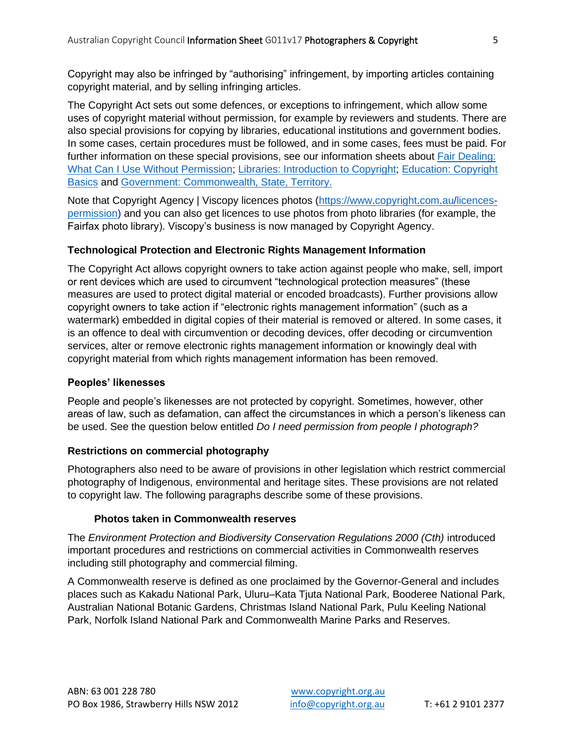Copyright may also be infringed by "authorising" infringement, by importing articles containing copyright material, and by selling infringing articles.

The Copyright Act sets out some defences, or exceptions to infringement, which allow some uses of copyright material without permission, for example by reviewers and students. There are also special provisions for copying by libraries, educational institutions and government bodies. In some cases, certain procedures must be followed, and in some cases, fees must be paid. For further information on these special provisions, see our information sheets about Fair Dealing: [What Can I Use Without Permission;](https://www.copyright.org.au/ACC_Prod/ACC/Information_Sheets/Fair_Dealing__What_Can_I_Use_Without_Permission.aspx) [Libraries: Introduction to Copyright;](https://www.copyright.org.au/ACC_Prod/ACC/Information_Sheets/Libraries__Introduction_to_Copyright.aspx) [Education: Copyright](https://www.copyright.org.au/ACC_Prod/ACC/Information_Sheets/Education__Copyright_Basics.aspx)  [Basics](https://www.copyright.org.au/ACC_Prod/ACC/Information_Sheets/Education__Copyright_Basics.aspx) and [Government: Commonwealth, State, Territory.](https://www.copyright.org.au/ACC_Prod/ACC/Information_Sheets/Government__Commonwealth__State___Territory.aspx?WebsiteKey=8a471e74-3f78-4994-9023-316f0ecef4ef)

Note that Copyright Agency | Viscopy licences photos [\(https://www.copyright.com.au/licences](https://www.copyright.com.au/licences-permission)[permission\)](https://www.copyright.com.au/licences-permission) and you can also get licences to use photos from photo libraries (for example, the Fairfax photo library). Viscopy's business is now managed by Copyright Agency.

# **Technological Protection and Electronic Rights Management Information**

The Copyright Act allows copyright owners to take action against people who make, sell, import or rent devices which are used to circumvent "technological protection measures" (these measures are used to protect digital material or encoded broadcasts). Further provisions allow copyright owners to take action if "electronic rights management information" (such as a watermark) embedded in digital copies of their material is removed or altered. In some cases, it is an offence to deal with circumvention or decoding devices, offer decoding or circumvention services, alter or remove electronic rights management information or knowingly deal with copyright material from which rights management information has been removed.

# **Peoples' likenesses**

People and people's likenesses are not protected by copyright. Sometimes, however, other areas of law, such as defamation, can affect the circumstances in which a person's likeness can be used. See the question below entitled *Do I need permission from people I photograph?*

# **Restrictions on commercial photography**

Photographers also need to be aware of provisions in other legislation which restrict commercial photography of Indigenous, environmental and heritage sites. These provisions are not related to copyright law. The following paragraphs describe some of these provisions.

# **Photos taken in Commonwealth reserves**

The *Environment Protection and Biodiversity Conservation Regulations 2000 (Cth)* introduced important procedures and restrictions on commercial activities in Commonwealth reserves including still photography and commercial filming.

A Commonwealth reserve is defined as one proclaimed by the Governor-General and includes places such as Kakadu National Park, Uluru–Kata Tjuta National Park, Booderee National Park, Australian National Botanic Gardens, Christmas Island National Park, Pulu Keeling National Park, Norfolk Island National Park and Commonwealth Marine Parks and Reserves.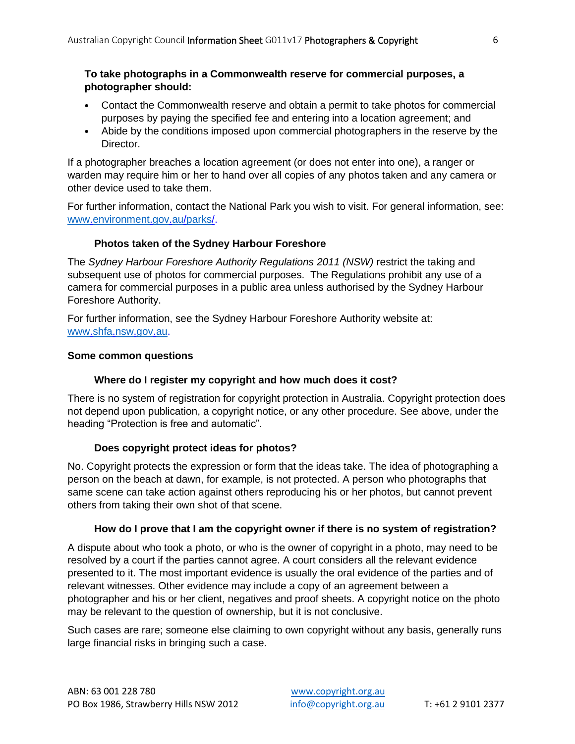# **To take photographs in a Commonwealth reserve for commercial purposes, a photographer should:**

- Contact the Commonwealth reserve and obtain a permit to take photos for commercial purposes by paying the specified fee and entering into a location agreement; and
- Abide by the conditions imposed upon commercial photographers in the reserve by the Director.

If a photographer breaches a location agreement (or does not enter into one), a ranger or warden may require him or her to hand over all copies of any photos taken and any camera or other device used to take them.

For further information, contact the National Park you wish to visit. For general information, see: [www.environment.gov.au/parks/.](http://www.environment.gov.au/parks/)

# **Photos taken of the Sydney Harbour Foreshore**

The *Sydney Harbour Foreshore Authority Regulations 2011 (NSW)* restrict the taking and subsequent use of photos for commercial purposes. The Regulations prohibit any use of a camera for commercial purposes in a public area unless authorised by the Sydney Harbour Foreshore Authority.

For further information, see the Sydney Harbour Foreshore Authority website at: [www.shfa.nsw.gov.au.](http://www.shfa.nsw.gov.au/)

### **Some common questions**

# **Where do I register my copyright and how much does it cost?**

There is no system of registration for copyright protection in Australia. Copyright protection does not depend upon publication, a copyright notice, or any other procedure. See above, under the heading "Protection is free and automatic".

# **Does copyright protect ideas for photos?**

No. Copyright protects the expression or form that the ideas take. The idea of photographing a person on the beach at dawn, for example, is not protected. A person who photographs that same scene can take action against others reproducing his or her photos, but cannot prevent others from taking their own shot of that scene.

# **How do I prove that I am the copyright owner if there is no system of registration?**

A dispute about who took a photo, or who is the owner of copyright in a photo, may need to be resolved by a court if the parties cannot agree. A court considers all the relevant evidence presented to it. The most important evidence is usually the oral evidence of the parties and of relevant witnesses. Other evidence may include a copy of an agreement between a photographer and his or her client, negatives and proof sheets. A copyright notice on the photo may be relevant to the question of ownership, but it is not conclusive.

Such cases are rare; someone else claiming to own copyright without any basis, generally runs large financial risks in bringing such a case.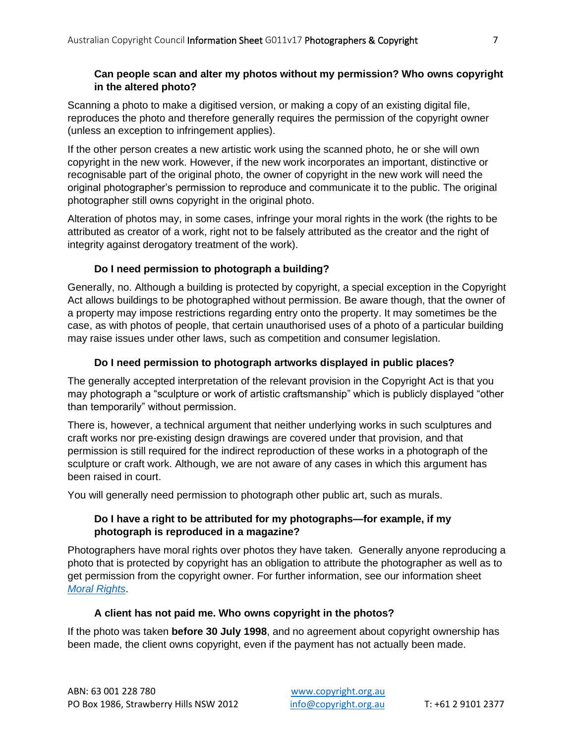# **Can people scan and alter my photos without my permission? Who owns copyright in the altered photo?**

Scanning a photo to make a digitised version, or making a copy of an existing digital file, reproduces the photo and therefore generally requires the permission of the copyright owner (unless an exception to infringement applies).

If the other person creates a new artistic work using the scanned photo, he or she will own copyright in the new work. However, if the new work incorporates an important, distinctive or recognisable part of the original photo, the owner of copyright in the new work will need the original photographer's permission to reproduce and communicate it to the public. The original photographer still owns copyright in the original photo.

Alteration of photos may, in some cases, infringe your moral rights in the work (the rights to be attributed as creator of a work, right not to be falsely attributed as the creator and the right of integrity against derogatory treatment of the work).

# **Do I need permission to photograph a building?**

Generally, no. Although a building is protected by copyright, a special exception in the Copyright Act allows buildings to be photographed without permission. Be aware though, that the owner of a property may impose restrictions regarding entry onto the property. It may sometimes be the case, as with photos of people, that certain unauthorised uses of a photo of a particular building may raise issues under other laws, such as competition and consumer legislation.

# **Do I need permission to photograph artworks displayed in public places?**

The generally accepted interpretation of the relevant provision in the Copyright Act is that you may photograph a "sculpture or work of artistic craftsmanship" which is publicly displayed "other than temporarily" without permission.

There is, however, a technical argument that neither underlying works in such sculptures and craft works nor pre-existing design drawings are covered under that provision, and that permission is still required for the indirect reproduction of these works in a photograph of the sculpture or craft work. Although, we are not aware of any cases in which this argument has been raised in court.

You will generally need permission to photograph other public art, such as murals.

# **Do I have a right to be attributed for my photographs—for example, if my photograph is reproduced in a magazine?**

Photographers have moral rights over photos they have taken. Generally anyone reproducing a photo that is protected by copyright has an obligation to attribute the photographer as well as to get permission from the copyright owner. For further information, see our information sheet *[Moral Rights](https://www.copyright.org.au/ACC_Prod/ACC/Information_Sheets/Assigning___Licensing_rights.aspx?WebsiteKey=8a471e74-3f78-4994-9023-316f0ecef4ef)*.

# **A client has not paid me. Who owns copyright in the photos?**

If the photo was taken **before 30 July 1998**, and no agreement about copyright ownership has been made, the client owns copyright, even if the payment has not actually been made.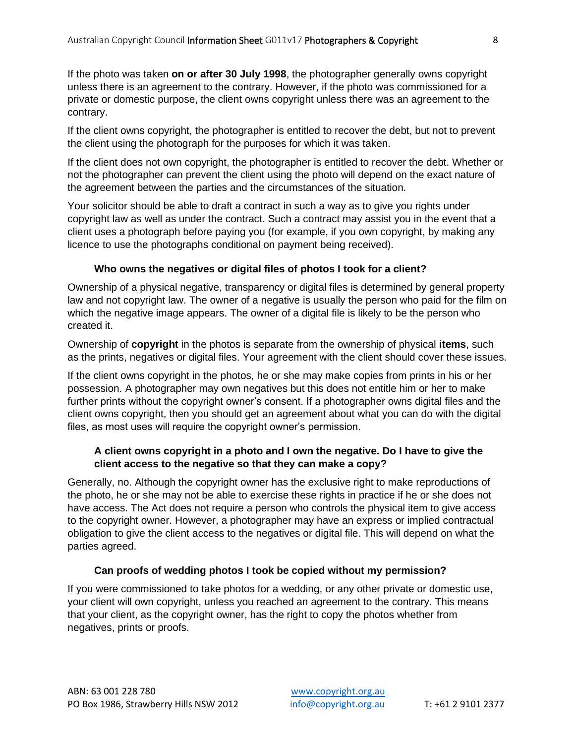If the photo was taken **on or after 30 July 1998**, the photographer generally owns copyright unless there is an agreement to the contrary. However, if the photo was commissioned for a private or domestic purpose, the client owns copyright unless there was an agreement to the contrary.

If the client owns copyright, the photographer is entitled to recover the debt, but not to prevent the client using the photograph for the purposes for which it was taken.

If the client does not own copyright, the photographer is entitled to recover the debt. Whether or not the photographer can prevent the client using the photo will depend on the exact nature of the agreement between the parties and the circumstances of the situation.

Your solicitor should be able to draft a contract in such a way as to give you rights under copyright law as well as under the contract. Such a contract may assist you in the event that a client uses a photograph before paying you (for example, if you own copyright, by making any licence to use the photographs conditional on payment being received).

# **Who owns the negatives or digital files of photos I took for a client?**

Ownership of a physical negative, transparency or digital files is determined by general property law and not copyright law. The owner of a negative is usually the person who paid for the film on which the negative image appears. The owner of a digital file is likely to be the person who created it.

Ownership of **copyright** in the photos is separate from the ownership of physical **items**, such as the prints, negatives or digital files. Your agreement with the client should cover these issues.

If the client owns copyright in the photos, he or she may make copies from prints in his or her possession. A photographer may own negatives but this does not entitle him or her to make further prints without the copyright owner's consent. If a photographer owns digital files and the client owns copyright, then you should get an agreement about what you can do with the digital files, as most uses will require the copyright owner's permission.

# **A client owns copyright in a photo and I own the negative. Do I have to give the client access to the negative so that they can make a copy?**

Generally, no. Although the copyright owner has the exclusive right to make reproductions of the photo, he or she may not be able to exercise these rights in practice if he or she does not have access. The Act does not require a person who controls the physical item to give access to the copyright owner. However, a photographer may have an express or implied contractual obligation to give the client access to the negatives or digital file. This will depend on what the parties agreed.

# **Can proofs of wedding photos I took be copied without my permission?**

If you were commissioned to take photos for a wedding, or any other private or domestic use, your client will own copyright, unless you reached an agreement to the contrary. This means that your client, as the copyright owner, has the right to copy the photos whether from negatives, prints or proofs.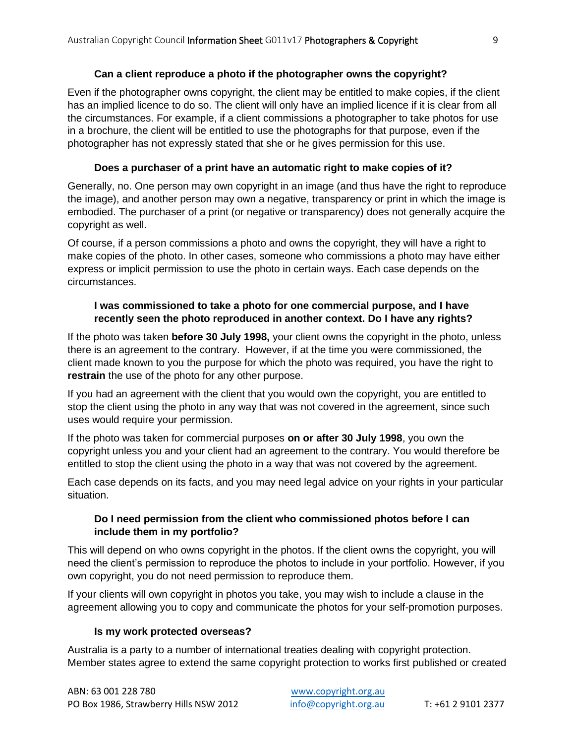# **Can a client reproduce a photo if the photographer owns the copyright?**

Even if the photographer owns copyright, the client may be entitled to make copies, if the client has an implied licence to do so. The client will only have an implied licence if it is clear from all the circumstances. For example, if a client commissions a photographer to take photos for use in a brochure, the client will be entitled to use the photographs for that purpose, even if the photographer has not expressly stated that she or he gives permission for this use.

# **Does a purchaser of a print have an automatic right to make copies of it?**

Generally, no. One person may own copyright in an image (and thus have the right to reproduce the image), and another person may own a negative, transparency or print in which the image is embodied. The purchaser of a print (or negative or transparency) does not generally acquire the copyright as well.

Of course, if a person commissions a photo and owns the copyright, they will have a right to make copies of the photo. In other cases, someone who commissions a photo may have either express or implicit permission to use the photo in certain ways. Each case depends on the circumstances.

# **I was commissioned to take a photo for one commercial purpose, and I have recently seen the photo reproduced in another context. Do I have any rights?**

If the photo was taken **before 30 July 1998,** your client owns the copyright in the photo, unless there is an agreement to the contrary. However, if at the time you were commissioned, the client made known to you the purpose for which the photo was required, you have the right to **restrain** the use of the photo for any other purpose.

If you had an agreement with the client that you would own the copyright, you are entitled to stop the client using the photo in any way that was not covered in the agreement, since such uses would require your permission.

If the photo was taken for commercial purposes **on or after 30 July 1998**, you own the copyright unless you and your client had an agreement to the contrary. You would therefore be entitled to stop the client using the photo in a way that was not covered by the agreement.

Each case depends on its facts, and you may need legal advice on your rights in your particular situation.

# **Do I need permission from the client who commissioned photos before I can include them in my portfolio?**

This will depend on who owns copyright in the photos. If the client owns the copyright, you will need the client's permission to reproduce the photos to include in your portfolio. However, if you own copyright, you do not need permission to reproduce them.

If your clients will own copyright in photos you take, you may wish to include a clause in the agreement allowing you to copy and communicate the photos for your self-promotion purposes.

# **Is my work protected overseas?**

Australia is a party to a number of international treaties dealing with copyright protection. Member states agree to extend the same copyright protection to works first published or created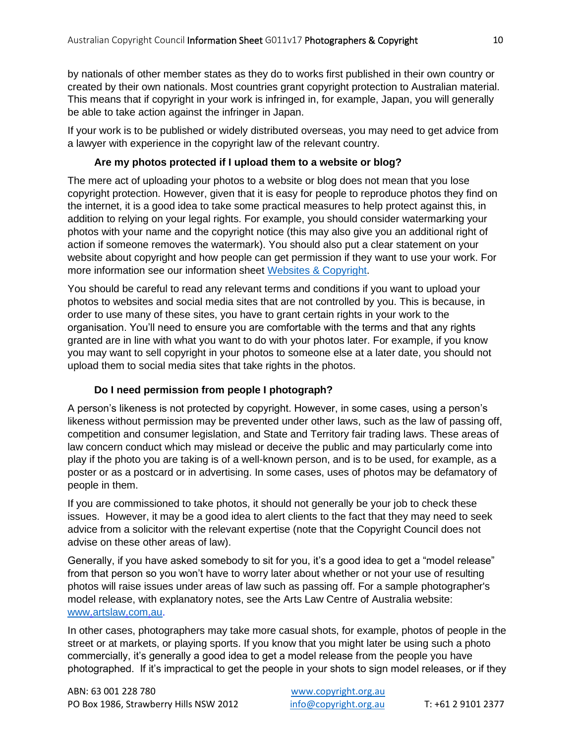by nationals of other member states as they do to works first published in their own country or created by their own nationals. Most countries grant copyright protection to Australian material. This means that if copyright in your work is infringed in, for example, Japan, you will generally be able to take action against the infringer in Japan.

If your work is to be published or widely distributed overseas, you may need to get advice from a lawyer with experience in the copyright law of the relevant country.

# **Are my photos protected if I upload them to a website or blog?**

The mere act of uploading your photos to a website or blog does not mean that you lose copyright protection. However, given that it is easy for people to reproduce photos they find on the internet, it is a good idea to take some practical measures to help protect against this, in addition to relying on your legal rights. For example, you should consider watermarking your photos with your name and the copyright notice (this may also give you an additional right of action if someone removes the watermark). You should also put a clear statement on your website about copyright and how people can get permission if they want to use your work. For more information see our information sheet [Websites & Copyright.](https://www.copyright.org.au/ACC_Prod/ACC/Information_Sheets/Websites___Copyright.aspx?WebsiteKey=8a471e74-3f78-4994-9023-316f0ecef4ef)

You should be careful to read any relevant terms and conditions if you want to upload your photos to websites and social media sites that are not controlled by you. This is because, in order to use many of these sites, you have to grant certain rights in your work to the organisation. You'll need to ensure you are comfortable with the terms and that any rights granted are in line with what you want to do with your photos later. For example, if you know you may want to sell copyright in your photos to someone else at a later date, you should not upload them to social media sites that take rights in the photos.

# **Do I need permission from people I photograph?**

A person's likeness is not protected by copyright. However, in some cases, using a person's likeness without permission may be prevented under other laws, such as the law of passing off, competition and consumer legislation, and State and Territory fair trading laws. These areas of law concern conduct which may mislead or deceive the public and may particularly come into play if the photo you are taking is of a well-known person, and is to be used, for example, as a poster or as a postcard or in advertising. In some cases, uses of photos may be defamatory of people in them.

If you are commissioned to take photos, it should not generally be your job to check these issues. However, it may be a good idea to alert clients to the fact that they may need to seek advice from a solicitor with the relevant expertise (note that the Copyright Council does not advise on these other areas of law).

Generally, if you have asked somebody to sit for you, it's a good idea to get a "model release" from that person so you won't have to worry later about whether or not your use of resulting photos will raise issues under areas of law such as passing off. For a sample photographer's model release, with explanatory notes, see the Arts Law Centre of Australia website: [www.artslaw.com.au.](http://www.artslaw.com.au/)

In other cases, photographers may take more casual shots, for example, photos of people in the street or at markets, or playing sports. If you know that you might later be using such a photo commercially, it's generally a good idea to get a model release from the people you have photographed. If it's impractical to get the people in your shots to sign model releases, or if they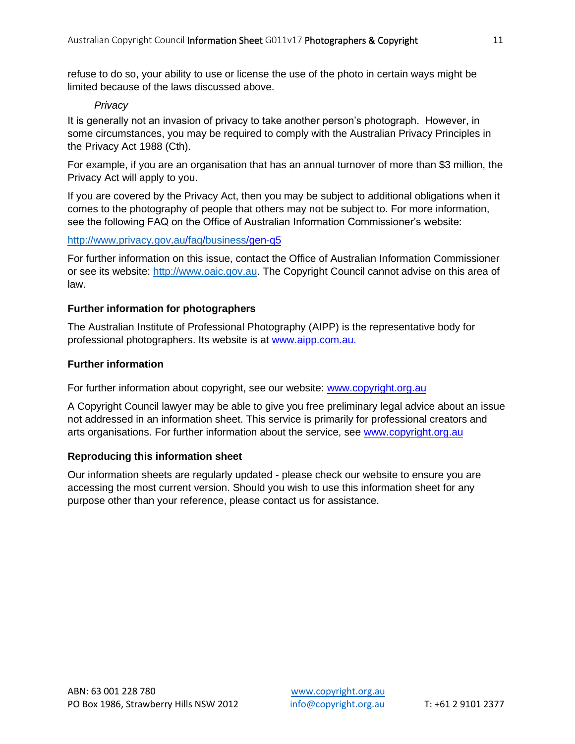refuse to do so, your ability to use or license the use of the photo in certain ways might be limited because of the laws discussed above.

#### *Privacy*

It is generally not an invasion of privacy to take another person's photograph. However, in some circumstances, you may be required to comply with the Australian Privacy Principles in the Privacy Act 1988 (Cth).

For example, if you are an organisation that has an annual turnover of more than \$3 million, the Privacy Act will apply to you.

If you are covered by the Privacy Act, then you may be subject to additional obligations when it comes to the photography of people that others may not be subject to. For more information, see the following FAQ on the Office of Australian Information Commissioner's website:

### <http://www.privacy.gov.au/faq/business/gen-q5>

For further information on this issue, contact the Office of Australian Information Commissioner or see its website: [http://www.oaic.gov.au.](http://www.oaic.gov.au/) The Copyright Council cannot advise on this area of law.

### **Further information for photographers**

The Australian Institute of Professional Photography (AIPP) is the representative body for professional photographers. Its website is at [www.aipp.com.au.](http://www.aipp.com.au/)

### **Further information**

For further information about copyright, see our website: [www.copyright.org.au](http://www.copyright.org.au/)

A Copyright Council lawyer may be able to give you free preliminary legal advice about an issue not addressed in an information sheet. This service is primarily for professional creators and arts organisations. For further information about the service, see [www.copyright.org.au](http://www.copyright.org.au/)

# **Reproducing this information sheet**

Our information sheets are regularly updated - please check our website to ensure you are accessing the most current version. Should you wish to use this information sheet for any purpose other than your reference, please contact us for assistance.